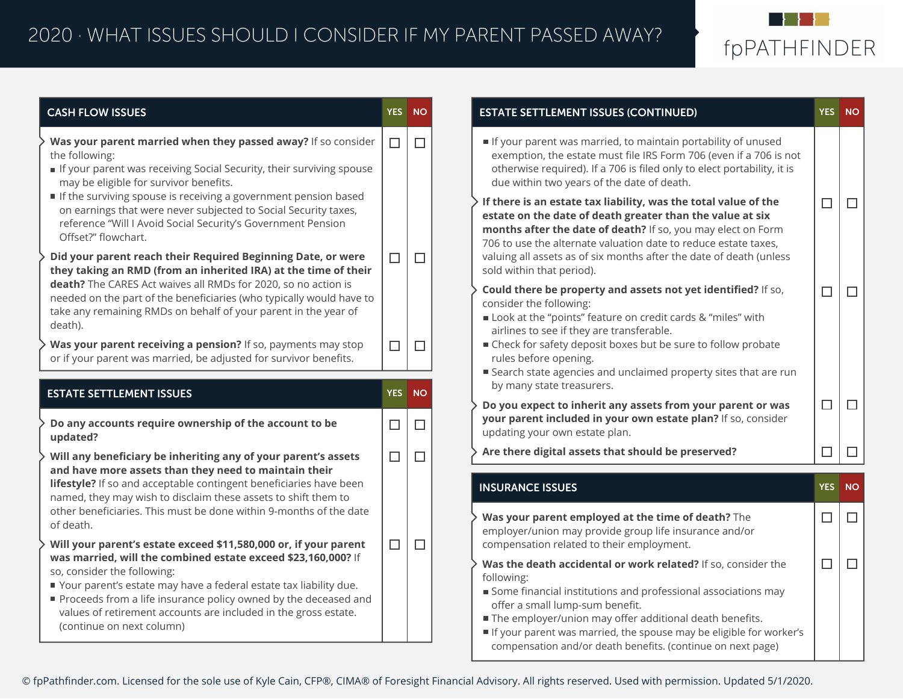

| <b>CASH FLOW ISSUES</b>                                                                                                                                                                                                                                                                                                                                                                                                        | YES NO                                                                                                                                                                                                                                                                                                                                                                                                                                                                                                                                                                                          |        | <b>ESTATE SETTLEMENT ISSUES (CONTINUED)</b>                                                                                                                                                                                                                     | <b>YES</b> | <b>NO</b> |
|--------------------------------------------------------------------------------------------------------------------------------------------------------------------------------------------------------------------------------------------------------------------------------------------------------------------------------------------------------------------------------------------------------------------------------|-------------------------------------------------------------------------------------------------------------------------------------------------------------------------------------------------------------------------------------------------------------------------------------------------------------------------------------------------------------------------------------------------------------------------------------------------------------------------------------------------------------------------------------------------------------------------------------------------|--------|-----------------------------------------------------------------------------------------------------------------------------------------------------------------------------------------------------------------------------------------------------------------|------------|-----------|
| Was your parent married when they passed away? If so consider<br>the following:<br>If your parent was receiving Social Security, their surviving spouse<br>may be eligible for survivor benefits.<br>If the surviving spouse is receiving a government pension based<br>on earnings that were never subjected to Social Security taxes,<br>reference "Will I Avoid Social Security's Government Pension<br>Offset?" flowchart. |                                                                                                                                                                                                                                                                                                                                                                                                                                                                                                                                                                                                 | $\Box$ | If your parent was married, to maintain portability of unused<br>exemption, the estate must file IRS Form 706 (even if a 706 is not<br>otherwise required). If a 706 is filed only to elect portability, it is<br>due within two years of the date of death.    |            |           |
|                                                                                                                                                                                                                                                                                                                                                                                                                                |                                                                                                                                                                                                                                                                                                                                                                                                                                                                                                                                                                                                 |        | If there is an estate tax liability, was the total value of the<br>estate on the date of death greater than the value at six<br>months after the date of death? If so, you may elect on Form<br>706 to use the alternate valuation date to reduce estate taxes, | $\Box$     | $\Box$    |
| Did your parent reach their Required Beginning Date, or were<br>they taking an RMD (from an inherited IRA) at the time of their                                                                                                                                                                                                                                                                                                | $\Box$                                                                                                                                                                                                                                                                                                                                                                                                                                                                                                                                                                                          | $\Box$ | valuing all assets as of six months after the date of death (unless<br>sold within that period).                                                                                                                                                                |            |           |
| death? The CARES Act waives all RMDs for 2020, so no action is<br>needed on the part of the beneficiaries (who typically would have to<br>take any remaining RMDs on behalf of your parent in the year of<br>death).                                                                                                                                                                                                           |                                                                                                                                                                                                                                                                                                                                                                                                                                                                                                                                                                                                 |        | Could there be property and assets not yet identified? If so,<br>consider the following:<br>Look at the "points" feature on credit cards & "miles" with<br>airlines to see if they are transferable.                                                            | $\Box$     | $\Box$    |
| Was your parent receiving a pension? If so, payments may stop<br>or if your parent was married, be adjusted for survivor benefits.                                                                                                                                                                                                                                                                                             | $\Box$                                                                                                                                                                                                                                                                                                                                                                                                                                                                                                                                                                                          | $\Box$ | ■ Check for safety deposit boxes but be sure to follow probate<br>rules before opening.<br>■ Search state agencies and unclaimed property sites that are run                                                                                                    |            |           |
| <b>ESTATE SETTLEMENT ISSUES</b>                                                                                                                                                                                                                                                                                                                                                                                                |                                                                                                                                                                                                                                                                                                                                                                                                                                                                                                                                                                                                 |        |                                                                                                                                                                                                                                                                 |            |           |
| Do any accounts require ownership of the account to be<br>updated?                                                                                                                                                                                                                                                                                                                                                             | $\Box$                                                                                                                                                                                                                                                                                                                                                                                                                                                                                                                                                                                          | $\Box$ | your parent included in your own estate plan? If so, consider<br>updating your own estate plan.                                                                                                                                                                 |            |           |
| Will any beneficiary be inheriting any of your parent's assets<br>and have more assets than they need to maintain their<br>lifestyle? If so and acceptable contingent beneficiaries have been<br>named, they may wish to disclaim these assets to shift them to                                                                                                                                                                | $\Box$                                                                                                                                                                                                                                                                                                                                                                                                                                                                                                                                                                                          | $\Box$ | Are there digital assets that should be preserved?                                                                                                                                                                                                              | $\Box$     | $\Box$    |
|                                                                                                                                                                                                                                                                                                                                                                                                                                |                                                                                                                                                                                                                                                                                                                                                                                                                                                                                                                                                                                                 |        | <b>INSURANCE ISSUES</b>                                                                                                                                                                                                                                         | YES        | <b>NO</b> |
| other beneficiaries. This must be done within 9-months of the date<br>of death.                                                                                                                                                                                                                                                                                                                                                |                                                                                                                                                                                                                                                                                                                                                                                                                                                                                                                                                                                                 |        | Was your parent employed at the time of death? The<br>employer/union may provide group life insurance and/or                                                                                                                                                    | $\Box$     | $\Box$    |
| Will your parent's estate exceed \$11,580,000 or, if your parent<br>was married, will the combined estate exceed \$23,160,000? If                                                                                                                                                                                                                                                                                              | by many state treasurers.<br>YES NO<br>$\Box$<br>$\Box$<br>Do you expect to inherit any assets from your parent or was<br>$\Box$<br>$\Box$<br>compensation related to their employment.<br>$\Box$<br>$\Box$<br>Was the death accidental or work related? If so, consider the<br>following:<br>Some financial institutions and professional associations may<br>offer a small lump-sum benefit.<br>The employer/union may offer additional death benefits.<br>If your parent was married, the spouse may be eligible for worker's<br>compensation and/or death benefits. (continue on next page) |        |                                                                                                                                                                                                                                                                 |            |           |
| so, consider the following:<br>■ Your parent's estate may have a federal estate tax liability due.<br>Proceeds from a life insurance policy owned by the deceased and                                                                                                                                                                                                                                                          |                                                                                                                                                                                                                                                                                                                                                                                                                                                                                                                                                                                                 |        |                                                                                                                                                                                                                                                                 |            |           |
| values of retirement accounts are included in the gross estate.<br>(continue on next column)                                                                                                                                                                                                                                                                                                                                   |                                                                                                                                                                                                                                                                                                                                                                                                                                                                                                                                                                                                 |        |                                                                                                                                                                                                                                                                 |            |           |